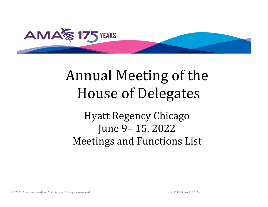

# Annual Meeting of the House of Delegates

Hyatt Regency Chicago June 9– 15, 2022 Meetings and Functions List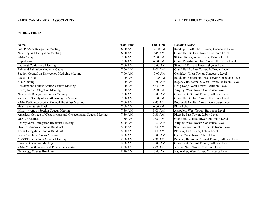### **Monday, June 13**

| <b>Name</b>                                                        | <b>Start Time</b> | <b>End Time</b> | <b>Location Name</b>                            |
|--------------------------------------------------------------------|-------------------|-----------------|-------------------------------------------------|
| <b>AAFP AMA Delegation Meeting</b>                                 | $6:00$ AM         | 12:00 PM        | Randolph 1A/B - East Tower, Concourse Level     |
| New England Delegation Meeting                                     | 6:30 AM           | 9:45 AM         | Grand Hall K, East Tower, Ballroom Level        |
| AMA Camp                                                           | $7:00$ AM         | 7:00 PM         | Stetson Suites, West Tower, Exhibit Level       |
| Registration                                                       | 7:00 AM           | $6:00$ PM       | Grand Registration, East Tower, Ballroom Level  |
| PacWest Conference Meeting                                         | 7:00 AM           | $10:00$ AM      | Skyway 272, East Tower, Skyway Level            |
| Pain and Palliative Medicine Caucus                                | 7:00 AM           | 9:00 AM         | Grand Hall L, East Tower, Ballroom Level        |
| Section Council on Emergency Medicine Meeting                      | 7:00 AM           | 10:00 AM        | Comiskey, West Tower, Concourse Level           |
| <b>Lactation Room</b>                                              | $7:00$ AM         | 11:00 PM        | Randolph Boardroom, East Tower, Concourse Level |
| SSS Meeting                                                        | 7:00 AM           | $10:00$ AM      | Regency Ballroom D, West Tower, Ballroom Level  |
| Resident and Fellow Section Caucus Meeting                         | $7:00$ AM         | 8:00 AM         | Hong Kong, West Tower, Ballroom Level           |
| Pennsylvania Delegation Meeting                                    | $7:00$ AM         | $2:00$ PM       | Wrigley, West Tower, Concourse Level            |
| New York Delegation Caucus Meeting                                 | 7:00 AM           | 10:00 AM        | Grand Suite 3, East Tower, Ballroom Level       |
| American Society of Anesthesiologists Meeting                      | $7:00$ AM         | 1:30 PM         | Grand Hall G, East Tower, Ballroom Level        |
| AMA Radiology Section Council Breakfast Meeting                    | $7:00$ AM         | 9:45 AM         | Roosevelt 3A, East Tower, Concourse Level       |
| Health and Safety Desk                                             | 7:00 AM           | 6:00 PM         | Plaza Lobby                                     |
| Minority Affairs Section Caucus Meeting                            | 7:30 AM           | 9:00 AM         | Acapulco, West Tower, Ballroom Level            |
| American College of Obstetricians and Gynecologists Caucus Meeting | $7:30$ AM         | 9:30 AM         | Plaza B, East Tower, Lobby Level                |
| <b>GLSC Breakfast</b>                                              | $7:30$ AM         | 9:00 AM         | Grand Hall J, East Tower, Ballroom Level        |
| Pennsylvania Delegation Breakfast Meeting                          | 8:00 AM           | 10:30 AM        | Wrigley, West Tower, Concourse Level            |
| Heart of America Caucus Breakfast                                  | 8:00 AM           | 9:00 AM         | San Francisco, West Tower, Ballroom Level       |
| Texas Delegation Caucus Breakfast                                  | 8:00 AM           | 9:00 AM         | Plaza A, East Tower, Lobby Level                |
| South Carolina Caucus Meeting                                      | 8:00 AM           | 10:00 AM        | Ogden, West Tower, Third Floor                  |
| MSS/RFS/YPS Joint Caucus Meeting                                   | 8:00 AM           | 9:30 AM         | Regency Ballroom C, West Tower, Ballroom Level  |
| Florida Delegation Meeting                                         | 8:00 AM           | 10:00 AM        | Grand Suite 5, East Tower, Ballroom Level       |
| AMA Council on Medical Education Meeting                           | 8:00 AM           | $9:00$ AM       | Atlanta, West Tower, Ballroom Level             |
| Neurology Caucus Breakfast                                         | 8:30 AM           | 10:00 AM        | Haymarket, West Tower, Concourse Level          |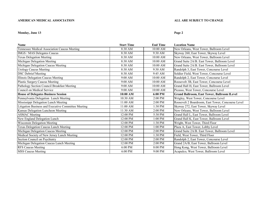### **Monday, June 13 Page 2**

| <b>Name</b>                                         | <b>Start Time</b> | <b>End Time</b> | <b>Location Name</b>                               |
|-----------------------------------------------------|-------------------|-----------------|----------------------------------------------------|
| Tennessee Medical Association Caucus Meeting        | 8:30 AM           | 10:00 AM        | New Orleans, West Tower, Ballroom Level            |
| IMGS / MAS Delegates Caucus                         | 8:30 AM           | 9:30 AM         | Skyway 260, East Tower, Skyway Level               |
| <b>Texas Delegation Meeting</b>                     | 8:30 AM           | $10:00$ AM      | New Orleans, West Tower, Ballroom Level            |
| Michigan Delegation Meeting                         | 8:30 AM           | $10:00$ AM      | Grand Suite 2A/B. East Tower, Ballroom Level       |
| Michigan Delegation Caucus Meeting                  | 8:30 AM           | 10:00 AM        | Grand Suite 2A/B. East Tower, Ballroom Level       |
| <b>Urology Caucus Meeting</b>                       | 8:30 AM           | 9:30 AM         | Randolph 3, East Tower, Concourse Level            |
| <b>DSC Debrief Meeting</b>                          | 8:30 AM           | 9:45 AM         | Soldier Field, West Tower, Concourse Level         |
| Illinois Delegation Caucus Meeting                  | 9:00 AM           | 10:00 AM        | Randolph 2, East Tower, Concourse Level            |
| Plastic Surgery Caucus Meeting                      | 9:00 AM           | 10:00 AM        | Roosevelt 3B, East Tower, Concourse Level          |
| Pathology Section Council Breakfast Meeting         | 9:00 AM           | 10:00 AM        | Grand Hall H, East Tower, Ballroom Level           |
| Council on Medical Service                          | 9:00 AM           | 10:00 AM        | Picasso, West Tower, Concourse Level               |
| <b>House of Delegates Business Session</b>          | 10:00 AM          | 6:00 PM         | <b>Grand Ballroom, East Tower, Ballroom ILevel</b> |
| Pennsylvania Delegation Lunch Meeting               | 10:30 AM          | $2:00$ PM       | Wrigley, West Tower, Concourse Level               |
| Mississippi Delegation Lunch Meeting                | $11:00$ AM        | $2:00$ PM       | Roosevelt 2 Boardroom, East Tower, Concourse Level |
| Litigation Business and Executive Committee Meeting | $11:00$ AM        | 1:30 PM         | Skyway 272, East Tower, Skyway Level               |
| Kansas Delegation Luncheon Meeting                  | 11:30 AM          | 2:00 PM         | New Orleans, West Tower, Ballroom Level            |
| <b>ASMAC</b> Meeting                                | 12:00 PM          | 5:30 PM         | Grand Hall L, East Tower, Ballroom Level           |
| New England Delegation Lunch                        | 12:00 PM          | 1:00 PM         | Grand Hall K, East Tower, Ballroom Level           |
| Wisconsin Delegation Meeting                        | 12:00 PM          | 1:30 PM         | Wright, West Tower, Third Floor                    |
| Texas Delegation Caucus Lunch Meeting               | 12:00 PM          | $1:00$ PM       | Plaza A, East Tower, Lobby Level                   |
| Michigan Delegation Caucus Meeting                  | 12:00 PM          | 2:00 PM         | Grand Suite 2A/B. East Tower, Ballroom Level       |
| Medical Society of New Jersey Lunch Meeting         | 12:00 PM          | 1:30 PM         | Field, West Tower, Third Floor                     |
| Section Council on Psychiatry                       | 12:00 PM          | $2:00$ PM       | Randolph 2, East Tower, Concourse Level            |
| Michigan Delegation Caucus Lunch Meeting            | 12:00 PM          | 2:00 PM         | Grand 2A/B, East Tower, Ballroom Level             |
| <b>RFS Caucus Meeting</b>                           | $6:00$ PM         | 8:00 PM         | Hong Kong, West Tower, Ballroom Level              |
| <b>MSS Caucus Meeting</b>                           | 6:00 PM           | 9:00 PM         | Acapulco, West Tower, Ballroom Level               |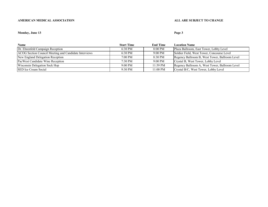### **Monday, June 13 Page 3**

| <b>Name</b>                                           | <b>Start Time</b> | <b>End Time</b> | <b>Location Name</b>                           |
|-------------------------------------------------------|-------------------|-----------------|------------------------------------------------|
| Dr. Ehrenfeld Campaign Reception                      | $6:30 \text{ PM}$ | 8:00 PM         | Plaza Ballroom, East Tower, Lobby Level        |
| ACOG Section Council Meeting and Candidate Interviews | $6:30 \text{ PM}$ | $9:00$ PM       | Soldier Field, West Tower, Concourse Level     |
| New England Delegation Reception                      | $7:00 \text{ PM}$ | 8:30 PM         | Regency Ballroom B, West Tower, Ballroom Level |
| PacWest Candidate Wine Reception                      | $7:30 \text{ PM}$ | $9:00$ PM       | Crystal B, West Tower, Lobby Level             |
| Wisconsin Delegation Sock Hop                         | $9:00 \text{ PM}$ | 11:59 PM        | Regency Ballroom A, West Tower, Ballroom Level |
| <b>SED</b> Ice Cream Social                           | $9:30 \text{ PM}$ | $11:00$ PM      | Crystal B/C, West Tower, Lobby Level           |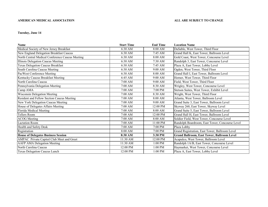### **Tuesday, June 14**

| <b>Name</b>                                     | <b>Start Time</b> | <b>End Time</b> | <b>Location Name</b>                              |
|-------------------------------------------------|-------------------|-----------------|---------------------------------------------------|
| Medical Society of New Jersey Breakfast         | 6:30 AM           | 8:00 AM         | DuSable, West Tower, Third Floor                  |
| New England Delegation Breakfast Caucus         | 6:30 AM           | $7:45$ AM       | Grand Hall K, East Tower, Ballroom Level          |
| North Central Medical Conference Caucus Meeting | 6:30 AM           | 8:00 AM         | Gold Coast, West Tower, Concourse Level           |
| Illinois Delegation Caucus Meeting              | $6:30$ AM         | 7:30 AM         | Randolph 3, East Tower, Concourse Level           |
| Texas Delegation Caucus Breakfast               | $6:30$ AM         | 7:45 AM         | Plaza A, East Tower, Lobby Level                  |
| South Carolina Caucus Meeting                   | 6:30 AM           | $9:00$ AM       | Ogden, West Tower, Third Floor                    |
| PacWest Conference Meeting                      | 6:30 AM           | 8:00 AM         | Grand Hall I, East Tower, Ballroom Level          |
| Kentucky Caucus Breakfast Meeting               | 6:45 AM           | $9:00$ AM       | Horner, West Tower, Third Floor                   |
| North Carolina Caucus                           | $7:00$ AM         | $9:00$ AM       | Field, West Tower, Third Floor                    |
| Pennsylvania Delegation Meeting                 | 7:00 AM           | 8:30 AM         | Wrigley, West Tower, Concourse Level              |
| Camp AMA                                        | $7:00$ AM         | 7:00 PM         | Stetson Suites, West Tower, Exhibit Level         |
| Wisconsin Delegation Meeting                    | $7:00$ AM         | 8:30 AM         | Wright, West Tower, Third Floor                   |
| Resident and Fellow Section Caucus Meeting      | $7:00$ AM         | 8:00 AM         | Atlanta, West Tower, Ballroom Level               |
| New York Delegation Caucus Meeting              | $7:00$ AM         | 9:00 AM         | Grand Suite 3, East Tower, Ballroom Level         |
| House of Delegates Affairs Meeting              | $7:00$ AM         | 12:00 PM        | Skyway 260, East Tower, Skyway Level              |
| Florida Medical Meeting                         | $7:00$ AM         | 8:00 AM         | Grand Suite 5, East Tower, Ballroom Level         |
| <b>Tellers Room</b>                             | 7:00 AM           | 12:00 PM        | Grand Hall H, East Tower, Ballroom Level          |
| <b>ACOG</b> Meeting                             | 7:00 AM           | 8:00 AM         | Soldier Field, West Tower, Concourse Level        |
| <b>Lactation Room</b>                           | 7:00 AM           | 11:00 PM        | Randolph Boardroom, East Tower, Concourse Level   |
| Health and Safety Desk                          | 7:00 AM           | 7:00 PM         | Plaza Lobby                                       |
| Registration                                    | 8:00 AM           | $7:00$ PM       | Grand Registration, East Tower, Ballroom Level    |
| <b>House of Delegates Business Session</b>      | 8:30 AM           | 3:30 PM         | <b>Grand Ballroom, East Tower, Ballroom Level</b> |
| AMPAC Private Capitol Club Meet and Greet       | 11:30 AM          | 12:00 PM        | Acapulco, West Tower, Ballroom Level              |
| <b>AAFP AMA Delegation Meeting</b>              | 11:30 AM          | $1:00$ PM       | Randolph 1A/B, East Tower, Concourse Level        |
| North Carolina Caucus                           | 12:00 PM          | 1:00 PM         | Haymarket, West Tower, Concourse Level            |
| Texas Delegation Caucus Lunch                   | 12:00 PM          | 1:00 PM         | Plaza A, East Tower, Lobby Level                  |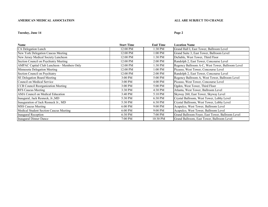### **Tuesday, June 14 Page 2**

| <b>Name</b>                                | <b>Start Time</b> | <b>End Time</b>   | <b>Location Name</b>                             |
|--------------------------------------------|-------------------|-------------------|--------------------------------------------------|
| CA Delegation Lunch                        | 12:00 PM          | 1:30 PM           | Grand Hall I, East Tower, Ballroom Level         |
| New York Delegation Caucus Meeting         | 12:00 PM          | 1:00 PM           | Grand Suite 3, East Tower, Ballroom Level        |
| New Jersey Medical Society Luncheon        | 12:00 PM          | 1:30 PM           | DuSable, West Tower, Third Floor                 |
| Section Council on Psychiatry Meeting      | 12:00 PM          | $2:00$ PM         | Randolph 2, East Tower, Concourse Level          |
| AMPAC Capital Club Luncheon - Members Only | 12:00 PM          | 1:30 PM           | Regency Ballroom A-C, West Tower, Ballroom Level |
| Minnesota Delegation Meeting               | 12:00 PM          | 1:00 PM           | Picasso, West Tower, Concourse Level             |
| Section Council on Psychiatry              | 12:00 PM          | $2:00$ PM         | Randolph 2, East Tower, Concourse Level          |
| <b>SE Delegation Board Meeting</b>         | $3:00$ PM         | 5:00 PM           | Regency Ballroom A, West Tower, Ballroom Level   |
| Council on Medical Service                 | $3:00$ PM         | $4:00$ PM         | Picasso, West Tower, Concourse Level             |
| CCB Council Reorganization Meeting         | 3:00 PM           | 5:00 PM           | Ogden, West Tower, Third Floor                   |
| <b>RFS Caucus Meeting</b>                  | 3:30 PM           | 4:30 PM           | Atlanta, West Tower, Ballroom Level              |
| AMA Council on Medical Education           | $3:40 \text{ PM}$ | $5:10 \text{ PM}$ | Skyway 260, East Tower, Skyway Level             |
| Inaugural, Jack Resneck, Jr., MD           | 5:30 PM           | 6:30 PM           | Crystal Ballroom, West Tower, Lobby Level        |
| Inauguration of Jack Resneck Jr., MD       | 5:30 PM           | 6:30 PM           | Crystal Ballroom, West Tower, Lobby Level        |
| <b>MSS Caucus Meeting</b>                  | $6:00$ PM         | $9:00$ PM         | Acapulco, West Tower, Ballroom Level             |
| Medical Student Section Caucus Meeting     | $6:00$ PM         | $9:00$ PM         | Acapulco, West Tower, Ballroom Level             |
| Inaugural Reception                        | 6:30 PM           | 7:00 PM           | Grand Ballroom Foyer, East Tower, Ballroom Level |
| Inaugural Dinner Dance                     | 7:00 PM           | 10:30 PM          | Grand Ballroom, East Tower, Ballroom Level       |